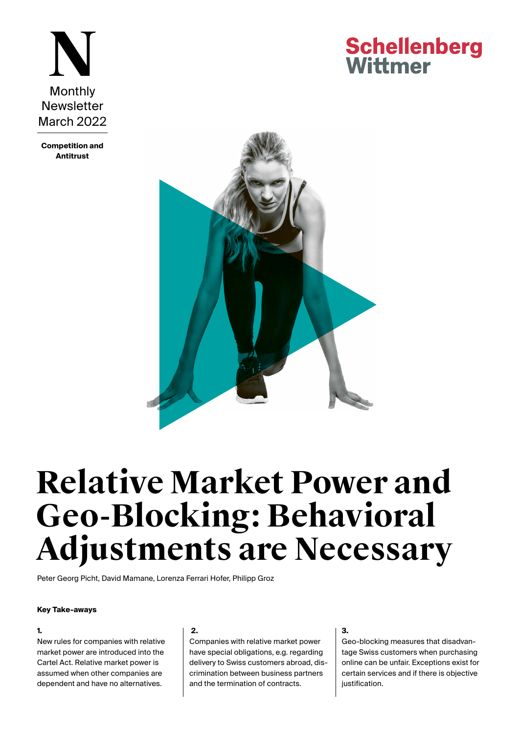

**Competition and Antitrust**

## **Schellenberg** Wittmer



# **Relative Market Power and Geo-Blocking: Behavioral Adjustments are Necessary**

[Peter Georg Picht](https://www.swlegal.ch/en/lawyers/lawyer-detail/peter-georg-picht/), [David Mamane,](https://www.swlegal.ch/en/lawyers/lawyer-detail/david-mamane/) [Lorenza Ferrari Hofer,](https://www.swlegal.ch/en/lawyers/lawyer-detail/lorenza-ferrari-hofer/) [Philipp Groz](https://www.swlegal.ch/en/lawyers/lawyer-detail/philipp-groz/)

#### **Key Take-aways**

### **1.**

New rules for companies with relative market power are introduced into the Cartel Act. Relative market power is assumed when other companies are dependent and have no alternatives.

#### **2.**

Companies with relative market power have special obligations, e.g. regarding delivery to Swiss customers abroad, discrimination between business partners and the termination of contracts.

#### **3.**

Geo-blocking measures that disadvantage Swiss customers when purchasing online can be unfair. Exceptions exist for certain services and if there is objective justification.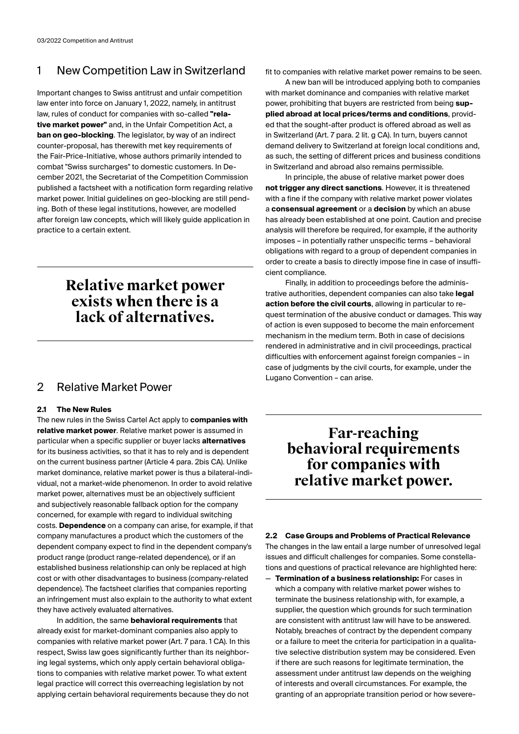### 1 New Competition Law in Switzerland

Important changes to Swiss antitrust and unfair competition law enter into force on January 1, 2022, namely, in antitrust law, rules of conduct for companies with so-called **"relative market power"** and, in the Unfair Competition Act, a **ban on geo-blocking**. The legislator, by way of an indirect counter-proposal, has therewith met key requirements of the Fair-Price-Initiative, whose authors primarily intended to combat "Swiss surcharges" to domestic customers. In December 2021, the Secretariat of the Competition Commission published a factsheet with a notification form regarding relative market power. Initial guidelines on geo-blocking are still pending. Both of these legal institutions, however, are modelled after foreign law concepts, which will likely guide application in practice to a certain extent.

### **Relative market power exists when there is a lack of alternatives.**

### 2 Relative Market Power

### **2.1 The New Rules**

The new rules in the Swiss Cartel Act apply to **companies with relative market power**. Relative market power is assumed in particular when a specific supplier or buyer lacks **alternatives** for its business activities, so that it has to rely and is dependent on the current business partner (Article 4 para. 2bis CA). Unlike market dominance, relative market power is thus a bilateral-individual, not a market-wide phenomenon. In order to avoid relative market power, alternatives must be an objectively sufficient and subjectively reasonable fallback option for the company concerned, for example with regard to individual switching costs. **Dependence** on a company can arise, for example, if that company manufactures a product which the customers of the dependent company expect to find in the dependent company's product range (product range-related dependence), or if an established business relationship can only be replaced at high cost or with other disadvantages to business (company-related dependence). The factsheet clarifies that companies reporting an infringement must also explain to the authority to what extent they have actively evaluated alternatives.

In addition, the same **behavioral requirements** that already exist for market-dominant companies also apply to companies with relative market power (Art. 7 para. 1 CA). In this respect, Swiss law goes significantly further than its neighboring legal systems, which only apply certain behavioral obligations to companies with relative market power. To what extent legal practice will correct this overreaching legislation by not applying certain behavioral requirements because they do not

fit to companies with relative market power remains to be seen.

A new ban will be introduced applying both to companies with market dominance and companies with relative market power, prohibiting that buyers are restricted from being **supplied abroad at local prices/terms and conditions**, provided that the sought-after product is offered abroad as well as in Switzerland (Art. 7 para. 2 lit. g CA). In turn, buyers cannot demand delivery to Switzerland at foreign local conditions and, as such, the setting of different prices and business conditions in Switzerland and abroad also remains permissible.

In principle, the abuse of relative market power does **not trigger any direct sanctions**. However, it is threatened with a fine if the company with relative market power violates a **consensual agreement** or a **decision** by which an abuse has already been established at one point. Caution and precise analysis will therefore be required, for example, if the authority imposes – in potentially rather unspecific terms – behavioral obligations with regard to a group of dependent companies in order to create a basis to directly impose fine in case of insufficient compliance.

Finally, in addition to proceedings before the administrative authorities, dependent companies can also take **legal action before the civil courts**, allowing in particular to request termination of the abusive conduct or damages. This way of action is even supposed to become the main enforcement mechanism in the medium term. Both in case of decisions rendered in administrative and in civil proceedings, practical difficulties with enforcement against foreign companies – in case of judgments by the civil courts, for example, under the Lugano Convention – can arise.

### **Far-reaching behavioral requirements for companies with relative market power.**

#### **2.2 Case Groups and Problems of Practical Relevance**

The changes in the law entail a large number of unresolved legal issues and difficult challenges for companies. Some constellations and questions of practical relevance are highlighted here:

— **Termination of a business relationship:** For cases in which a company with relative market power wishes to terminate the business relationship with, for example, a supplier, the question which grounds for such termination are consistent with antitrust law will have to be answered. Notably, breaches of contract by the dependent company or a failure to meet the criteria for participation in a qualitative selective distribution system may be considered. Even if there are such reasons for legitimate termination, the assessment under antitrust law depends on the weighing of interests and overall circumstances. For example, the granting of an appropriate transition period or how severe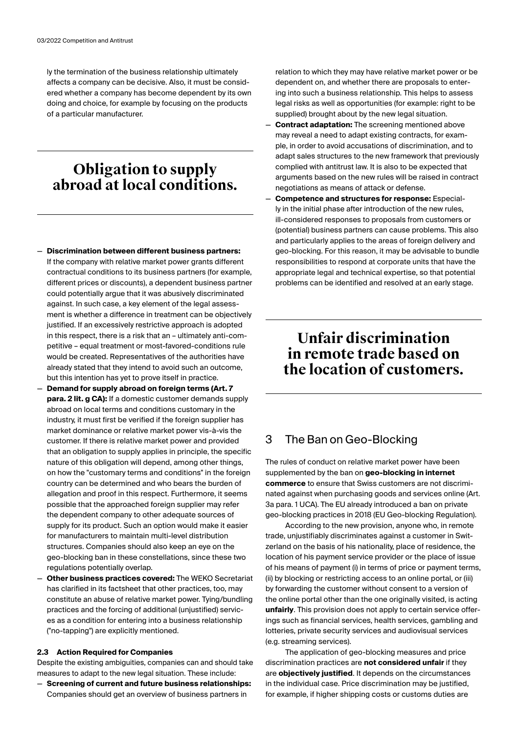ly the termination of the business relationship ultimately affects a company can be decisive. Also, it must be considered whether a company has become dependent by its own doing and choice, for example by focusing on the products of a particular manufacturer.

### **Obligation to supply abroad at local conditions.**

- **Discrimination between different business partners:** If the company with relative market power grants different contractual conditions to its business partners (for example, different prices or discounts), a dependent business partner could potentially argue that it was abusively discriminated against. In such case, a key element of the legal assessment is whether a difference in treatment can be objectively justified. If an excessively restrictive approach is adopted in this respect, there is a risk that an – ultimately anti-competitive – equal treatment or most-favored-conditions rule would be created. Representatives of the authorities have already stated that they intend to avoid such an outcome, but this intention has yet to prove itself in practice.
- **Demand for supply abroad on foreign terms (Art. 7 para. 2 lit. g CA):** If a domestic customer demands supply abroad on local terms and conditions customary in the industry, it must first be verified if the foreign supplier has market dominance or relative market power vis-à-vis the customer. If there is relative market power and provided that an obligation to supply applies in principle, the specific nature of this obligation will depend, among other things, on how the "customary terms and conditions" in the foreign country can be determined and who bears the burden of allegation and proof in this respect. Furthermore, it seems possible that the approached foreign supplier may refer the dependent company to other adequate sources of supply for its product. Such an option would make it easier for manufacturers to maintain multi-level distribution structures. Companies should also keep an eye on the geo-blocking ban in these constellations, since these two regulations potentially overlap.
- **Other business practices covered:** The WEKO Secretariat has clarified in its factsheet that other practices, too, may constitute an abuse of relative market power. Tying/bundling practices and the forcing of additional (unjustified) services as a condition for entering into a business relationship ("no-tapping") are explicitly mentioned.

### **2.3 Action Required for Companies**

Despite the existing ambiguities, companies can and should take measures to adapt to the new legal situation. These include:

— **Screening of current and future business relationships:** Companies should get an overview of business partners in

relation to which they may have relative market power or be dependent on, and whether there are proposals to entering into such a business relationship. This helps to assess legal risks as well as opportunities (for example: right to be supplied) brought about by the new legal situation.

- **Contract adaptation:** The screening mentioned above may reveal a need to adapt existing contracts, for example, in order to avoid accusations of discrimination, and to adapt sales structures to the new framework that previously complied with antitrust law. It is also to be expected that arguments based on the new rules will be raised in contract negotiations as means of attack or defense.
- **Competence and structures for response:** Especially in the initial phase after introduction of the new rules, ill-considered responses to proposals from customers or (potential) business partners can cause problems. This also and particularly applies to the areas of foreign delivery and geo-blocking. For this reason, it may be advisable to bundle responsibilities to respond at corporate units that have the appropriate legal and technical expertise, so that potential problems can be identified and resolved at an early stage.

### **Unfair discrimination in remote trade based on the location of customers.**

### 3 The Ban on Geo-Blocking

The rules of conduct on relative market power have been supplemented by the ban on **geo-blocking in internet commerce** to ensure that Swiss customers are not discriminated against when purchasing goods and services online (Art. 3a para. 1 UCA). The EU already introduced a ban on private geo-blocking practices in 2018 (EU Geo-blocking Regulation).

According to the new provision, anyone who, in remote trade, unjustifiably discriminates against a customer in Switzerland on the basis of his nationality, place of residence, the location of his payment service provider or the place of issue of his means of payment (i) in terms of price or payment terms, (ii) by blocking or restricting access to an online portal, or (iii) by forwarding the customer without consent to a version of the online portal other than the one originally visited, is acting **unfairly**. This provision does not apply to certain service offerings such as financial services, health services, gambling and lotteries, private security services and audiovisual services (e.g. streaming services).

The application of geo-blocking measures and price discrimination practices are **not considered unfair** if they are **objectively justified**. It depends on the circumstances in the individual case. Price discrimination may be justified, for example, if higher shipping costs or customs duties are